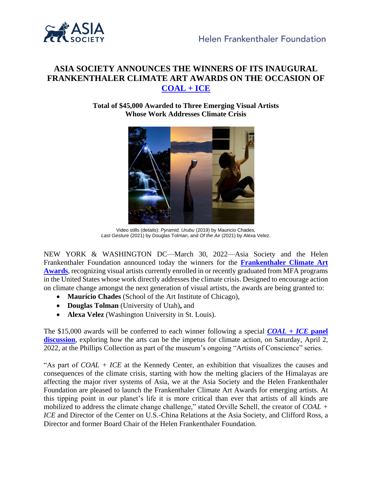

# **ASIA SOCIETY ANNOUNCES THE WINNERS OF ITS INAUGURAL FRANKENTHALER CLIMATE ART AWARDS ON THE OCCASION OF [COAL + ICE](http://coalandice.org/)**

**Total of \$45,000 Awarded to Three Emerging Visual Artists Whose Work Addresses Climate Crisis**



Video stills (details): *Pyramid, Urubu* (2019) by Mauricio Chades*, Last Gesture* (2021) by Douglas Tolman, and *Of the Air* (2021) by Alexa Velez.

NEW YORK & WASHINGTON DC—March 30, 2022—Asia Society and the Helen Frankenthaler Foundation announced today the winners for the **[Frankenthaler Climate Art](https://climateartawards.org/)  [Awards](https://climateartawards.org/)**, recognizing visual artists currently enrolled in or recently graduated from MFA programs in the United States whose work directly addresses the climate crisis. Designed to encourage action on climate change amongst the next generation of visual artists, the awards are being granted to:

- **Maurício Chades** (School of the Art Institute of Chicago),
- **Douglas Tolman** (University of Utah)**,** and
- **Alexa Velez** (Washington University in St. Louis).

The \$15,000 awards will be conferred to each winner following a special *[COAL + ICE](https://www.phillipscollection.org/event/2022-04-02-artists-conscience)* **panel [discussion](https://www.phillipscollection.org/event/2022-04-02-artists-conscience)**, exploring how the arts can be the impetus for climate action, on Saturday, April 2, 2022, at the Phillips Collection as part of the museum's ongoing "Artists of Conscience" series.

"As part of *COAL + ICE* at the Kennedy Center, an exhibition that visualizes the causes and consequences of the climate crisis, starting with how the melting glaciers of the Himalayas are affecting the major river systems of Asia, we at the Asia Society and the Helen Frankenthaler Foundation are pleased to launch the Frankenthaler Climate Art Awards for emerging artists. At this tipping point in our planet's life it is more critical than ever that artists of all kinds are mobilized to address the climate change challenge," stated Orville Schell, the creator of *COAL + ICE* and Director of the Center on U.S.-China Relations at the Asia Society, and Clifford Ross, a Director and former Board Chair of the Helen Frankenthaler Foundation.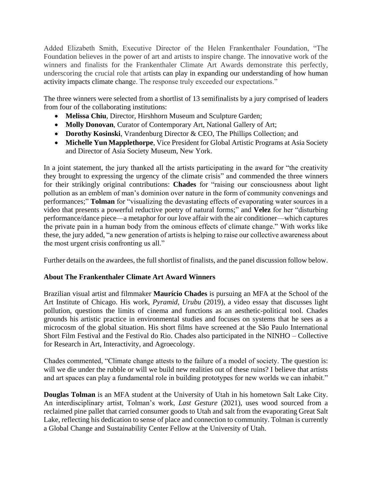Added Elizabeth Smith, Executive Director of the Helen Frankenthaler Foundation, "The Foundation believes in the power of art and artists to inspire change. The innovative work of the winners and finalists for the Frankenthaler Climate Art Awards demonstrate this perfectly, underscoring the crucial role that artists can play in expanding our understanding of how human activity impacts climate change. The response truly exceeded our expectations."

The three winners were selected from a shortlist of 13 semifinalists by a jury comprised of leaders from four of the collaborating institutions:

- **Melissa Chiu**, Director, Hirshhorn Museum and Sculpture Garden;
- **Molly Donovan**, Curator of Contemporary Art, National Gallery of Art;
- **Dorothy Kosinski**, Vrandenburg Director & CEO, The Phillips Collection; and
- **Michelle Yun Mapplethorpe**, Vice President for Global Artistic Programs at Asia Society and Director of Asia Society Museum, New York.

In a joint statement, the jury thanked all the artists participating in the award for "the creativity they brought to expressing the urgency of the climate crisis" and commended the three winners for their strikingly original contributions: **Chades** for "raising our consciousness about light pollution as an emblem of man's dominion over nature in the form of community convenings and performances;" **Tolman** for "visualizing the devastating effects of evaporating water sources in a video that presents a powerful reductive poetry of natural forms;" and **Velez** for her "disturbing performance/dance piece—a metaphor for our love affair with the air conditioner—which captures the private pain in a human body from the ominous effects of climate change." With works like these, the jury added, "a new generation of artists is helping to raise our collective awareness about the most urgent crisis confronting us all."

Further details on the awardees, the full shortlist of finalists, and the panel discussion follow below.

# **About The Frankenthaler Climate Art Award Winners**

Brazilian visual artist and filmmaker **Maurício Chades** is pursuing an MFA at the School of the Art Institute of Chicago. His work, *Pyramid, Urubu* (2019), a video essay that discusses light pollution, questions the limits of cinema and functions as an aesthetic-political tool. Chades grounds his artistic practice in environmental studies and focuses on systems that he sees as a microcosm of the global situation. His short films have screened at the São Paulo International Short Film Festival and the Festival do Rio. Chades also participated in the NINHO – Collective for Research in Art, Interactivity, and Agroecology.

Chades commented, "Climate change attests to the failure of a model of society. The question is: will we die under the rubble or will we build new realities out of these ruins? I believe that artists and art spaces can play a fundamental role in building prototypes for new worlds we can inhabit."

**Douglas Tolman** is an MFA student at the University of Utah in his hometown Salt Lake City. An interdisciplinary artist, Tolman's work, *Last Gesture* (2021), uses wood sourced from a reclaimed pine pallet that carried consumer goods to Utah and salt from the evaporating Great Salt Lake, reflecting his dedication to sense of place and connection to community. Tolman is currently a Global Change and Sustainability Center Fellow at the University of Utah.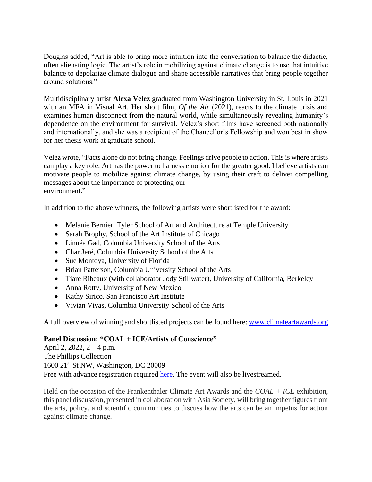Douglas added, "Art is able to bring more intuition into the conversation to balance the didactic, often alienating logic. The artist's role in mobilizing against climate change is to use that intuitive balance to depolarize climate dialogue and shape accessible narratives that bring people together around solutions."

Multidisciplinary artist **Alexa Velez** graduated from Washington University in St. Louis in 2021 with an MFA in Visual Art. Her short film, *Of the Air* (2021), reacts to the climate crisis and examines human disconnect from the natural world, while simultaneously revealing humanity's dependence on the environment for survival. Velez's short films have screened both nationally and internationally, and she was a recipient of the Chancellor's Fellowship and won best in show for her thesis work at graduate school.

Velez wrote, "Facts alone do not bring change. Feelings drive people to action. This is where artists can play a key role. Art has the power to harness emotion for the greater good. I believe artists can motivate people to mobilize against climate change, by using their craft to deliver compelling messages about the importance of protecting our environment."

In addition to the above winners, the following artists were shortlisted for the award:

- Melanie Bernier, Tyler School of Art and Architecture at Temple University
- Sarah Brophy, School of the Art Institute of Chicago
- Linnéa Gad, Columbia University School of the Arts
- Char Jeré, Columbia University School of the Arts
- Sue Montoya, University of Florida
- Brian Patterson, Columbia University School of the Arts
- Tiare Ribeaux (with collaborator Jody Stillwater), University of California, Berkeley
- Anna Rotty, University of New Mexico
- Kathy Sirico, San Francisco Art Institute
- Vivian Vivas, Columbia University School of the Arts

A full overview of winning and shortlisted projects can be found here: [www.climateartawards.org](http://www.climateartawards.org/)

# **Panel Discussion: "COAL + ICE/Artists of Conscience"**

April 2, 2022, 2 – 4 p.m. The Phillips Collection 1600 21st St NW, Washington, DC 20009 Free with advance registration required [here.](https://www.phillipscollection.org/event/2022-04-02-artists-conscience) The event will also be livestreamed.

Held on the occasion of the Frankenthaler Climate Art Awards and the *COAL + ICE* exhibition, this panel discussion, presented in collaboration with Asia Society, will bring together figures from the arts, policy, and scientific communities to discuss how the arts can be an impetus for action against climate change.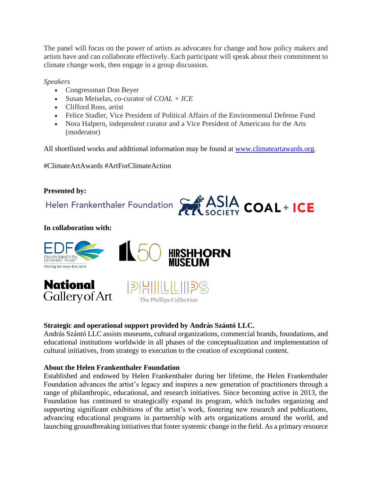The panel will focus on the power of artists as advocates for change and how policy makers and artists have and can collaborate effectively. Each participant will speak about their commitment to climate change work, then engage in a group discussion.

*Speakers*

- Congressman Don Beyer
- Susan Meiselas, co-curator of *COAL + ICE*
- Clifford Ross, artist
- Felice Stadler, Vice President of Political Affairs of the Environmental Defense Fund
- Nora Halpern, independent curator and a Vice President of Americans for the Arts (moderator)

All shortlisted works and additional information may be found at [www.climateartawards.org.](http://www.climateartawards.org/)

#ClimateArtAwards #ArtForClimateAction

# **Presented by:**



### **In collaboration with:**



# **Strategic and operational support provided by András Szántó LLC.**

András Szántó LLC assists museums, cultural organizations, commercial brands, foundations, and educational institutions worldwide in all phases of the conceptualization and implementation of cultural initiatives, from strategy to execution to the creation of exceptional content.

# **About the Helen Frankenthaler Foundation**

Established and endowed by Helen Frankenthaler during her lifetime, the Helen Frankenthaler Foundation advances the artist's legacy and inspires a new generation of practitioners through a range of philanthropic, educational, and research initiatives. Since becoming active in 2013, the Foundation has continued to strategically expand its program, which includes organizing and supporting significant exhibitions of the artist's work, fostering new research and publications, advancing educational programs in partnership with arts organizations around the world, and launching groundbreaking initiatives that foster systemic change in the field. As a primary resource